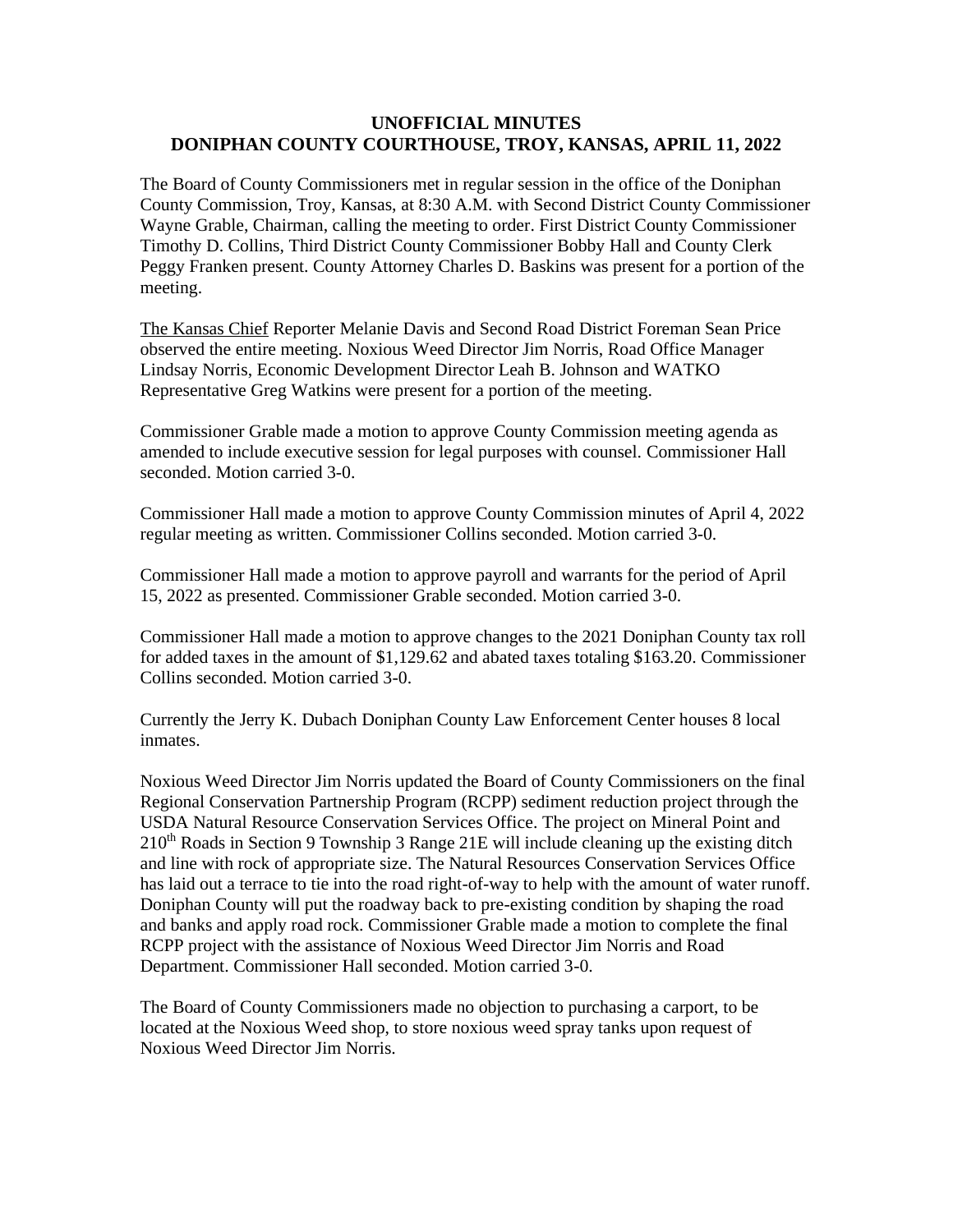## **UNOFFICIAL MINUTES DONIPHAN COUNTY COURTHOUSE, TROY, KANSAS, APRIL 11, 2022**

The Board of County Commissioners met in regular session in the office of the Doniphan County Commission, Troy, Kansas, at 8:30 A.M. with Second District County Commissioner Wayne Grable, Chairman, calling the meeting to order. First District County Commissioner Timothy D. Collins, Third District County Commissioner Bobby Hall and County Clerk Peggy Franken present. County Attorney Charles D. Baskins was present for a portion of the meeting.

The Kansas Chief Reporter Melanie Davis and Second Road District Foreman Sean Price observed the entire meeting. Noxious Weed Director Jim Norris, Road Office Manager Lindsay Norris, Economic Development Director Leah B. Johnson and WATKO Representative Greg Watkins were present for a portion of the meeting.

Commissioner Grable made a motion to approve County Commission meeting agenda as amended to include executive session for legal purposes with counsel. Commissioner Hall seconded. Motion carried 3-0.

Commissioner Hall made a motion to approve County Commission minutes of April 4, 2022 regular meeting as written. Commissioner Collins seconded. Motion carried 3-0.

Commissioner Hall made a motion to approve payroll and warrants for the period of April 15, 2022 as presented. Commissioner Grable seconded. Motion carried 3-0.

Commissioner Hall made a motion to approve changes to the 2021 Doniphan County tax roll for added taxes in the amount of \$1,129.62 and abated taxes totaling \$163.20. Commissioner Collins seconded. Motion carried 3-0.

Currently the Jerry K. Dubach Doniphan County Law Enforcement Center houses 8 local inmates.

Noxious Weed Director Jim Norris updated the Board of County Commissioners on the final Regional Conservation Partnership Program (RCPP) sediment reduction project through the USDA Natural Resource Conservation Services Office. The project on Mineral Point and  $210<sup>th</sup>$  Roads in Section 9 Township 3 Range 21E will include cleaning up the existing ditch and line with rock of appropriate size. The Natural Resources Conservation Services Office has laid out a terrace to tie into the road right-of-way to help with the amount of water runoff. Doniphan County will put the roadway back to pre-existing condition by shaping the road and banks and apply road rock. Commissioner Grable made a motion to complete the final RCPP project with the assistance of Noxious Weed Director Jim Norris and Road Department. Commissioner Hall seconded. Motion carried 3-0.

The Board of County Commissioners made no objection to purchasing a carport, to be located at the Noxious Weed shop, to store noxious weed spray tanks upon request of Noxious Weed Director Jim Norris.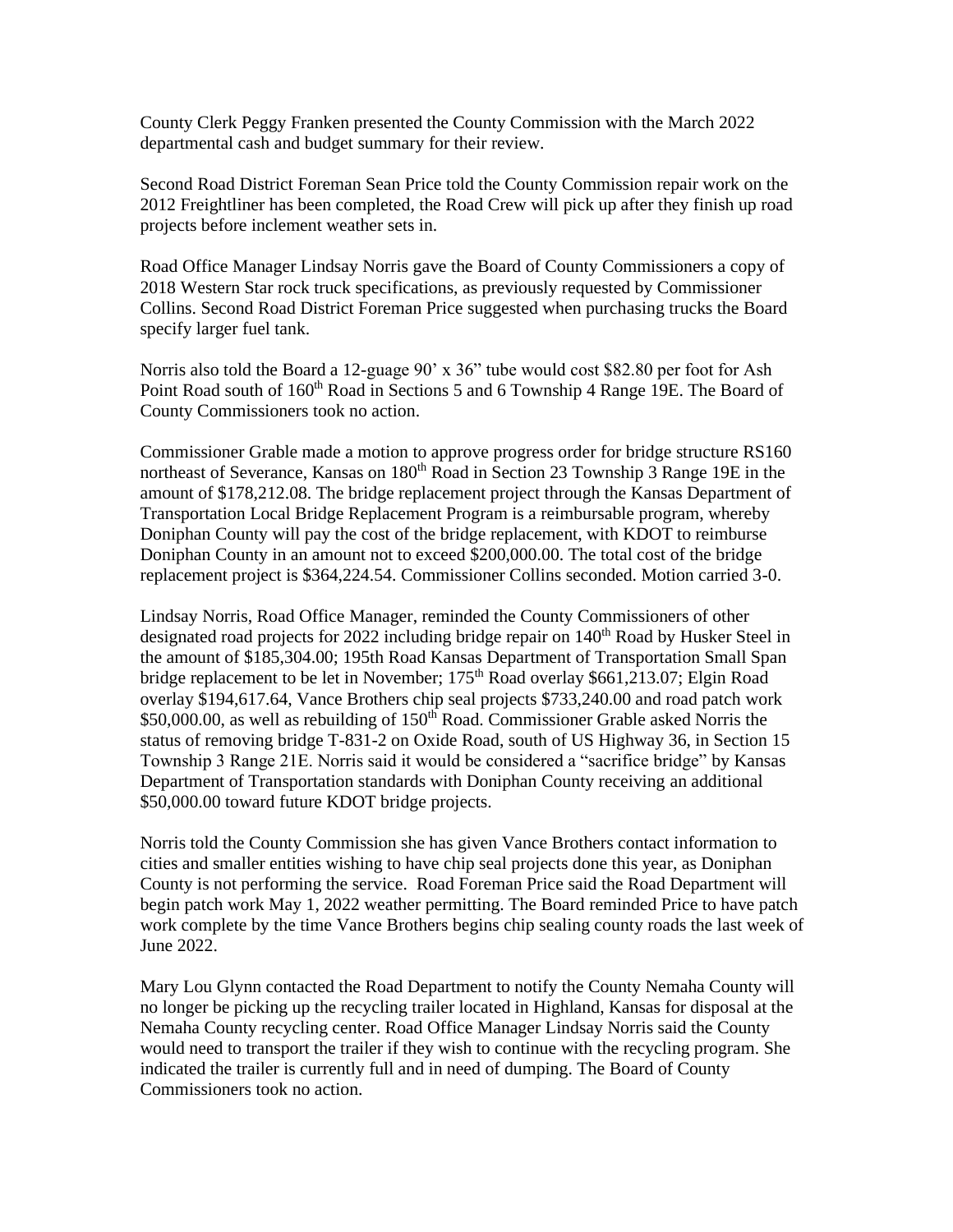County Clerk Peggy Franken presented the County Commission with the March 2022 departmental cash and budget summary for their review.

Second Road District Foreman Sean Price told the County Commission repair work on the 2012 Freightliner has been completed, the Road Crew will pick up after they finish up road projects before inclement weather sets in.

Road Office Manager Lindsay Norris gave the Board of County Commissioners a copy of 2018 Western Star rock truck specifications, as previously requested by Commissioner Collins. Second Road District Foreman Price suggested when purchasing trucks the Board specify larger fuel tank.

Norris also told the Board a 12-guage 90' x 36" tube would cost \$82.80 per foot for Ash Point Road south of 160<sup>th</sup> Road in Sections 5 and 6 Township 4 Range 19E. The Board of County Commissioners took no action.

Commissioner Grable made a motion to approve progress order for bridge structure RS160 northeast of Severance, Kansas on  $180<sup>th</sup>$  Road in Section 23 Township 3 Range 19E in the amount of \$178,212.08. The bridge replacement project through the Kansas Department of Transportation Local Bridge Replacement Program is a reimbursable program, whereby Doniphan County will pay the cost of the bridge replacement, with KDOT to reimburse Doniphan County in an amount not to exceed \$200,000.00. The total cost of the bridge replacement project is \$364,224.54. Commissioner Collins seconded. Motion carried 3-0.

Lindsay Norris, Road Office Manager, reminded the County Commissioners of other designated road projects for 2022 including bridge repair on 140<sup>th</sup> Road by Husker Steel in the amount of \$185,304.00; 195th Road Kansas Department of Transportation Small Span bridge replacement to be let in November;  $175<sup>th</sup>$  Road overlay \$661,213.07; Elgin Road overlay \$194,617.64, Vance Brothers chip seal projects \$733,240.00 and road patch work \$50,000.00, as well as rebuilding of 150<sup>th</sup> Road. Commissioner Grable asked Norris the status of removing bridge T-831-2 on Oxide Road, south of US Highway 36, in Section 15 Township 3 Range 21E. Norris said it would be considered a "sacrifice bridge" by Kansas Department of Transportation standards with Doniphan County receiving an additional \$50,000.00 toward future KDOT bridge projects.

Norris told the County Commission she has given Vance Brothers contact information to cities and smaller entities wishing to have chip seal projects done this year, as Doniphan County is not performing the service. Road Foreman Price said the Road Department will begin patch work May 1, 2022 weather permitting. The Board reminded Price to have patch work complete by the time Vance Brothers begins chip sealing county roads the last week of June 2022.

Mary Lou Glynn contacted the Road Department to notify the County Nemaha County will no longer be picking up the recycling trailer located in Highland, Kansas for disposal at the Nemaha County recycling center. Road Office Manager Lindsay Norris said the County would need to transport the trailer if they wish to continue with the recycling program. She indicated the trailer is currently full and in need of dumping. The Board of County Commissioners took no action.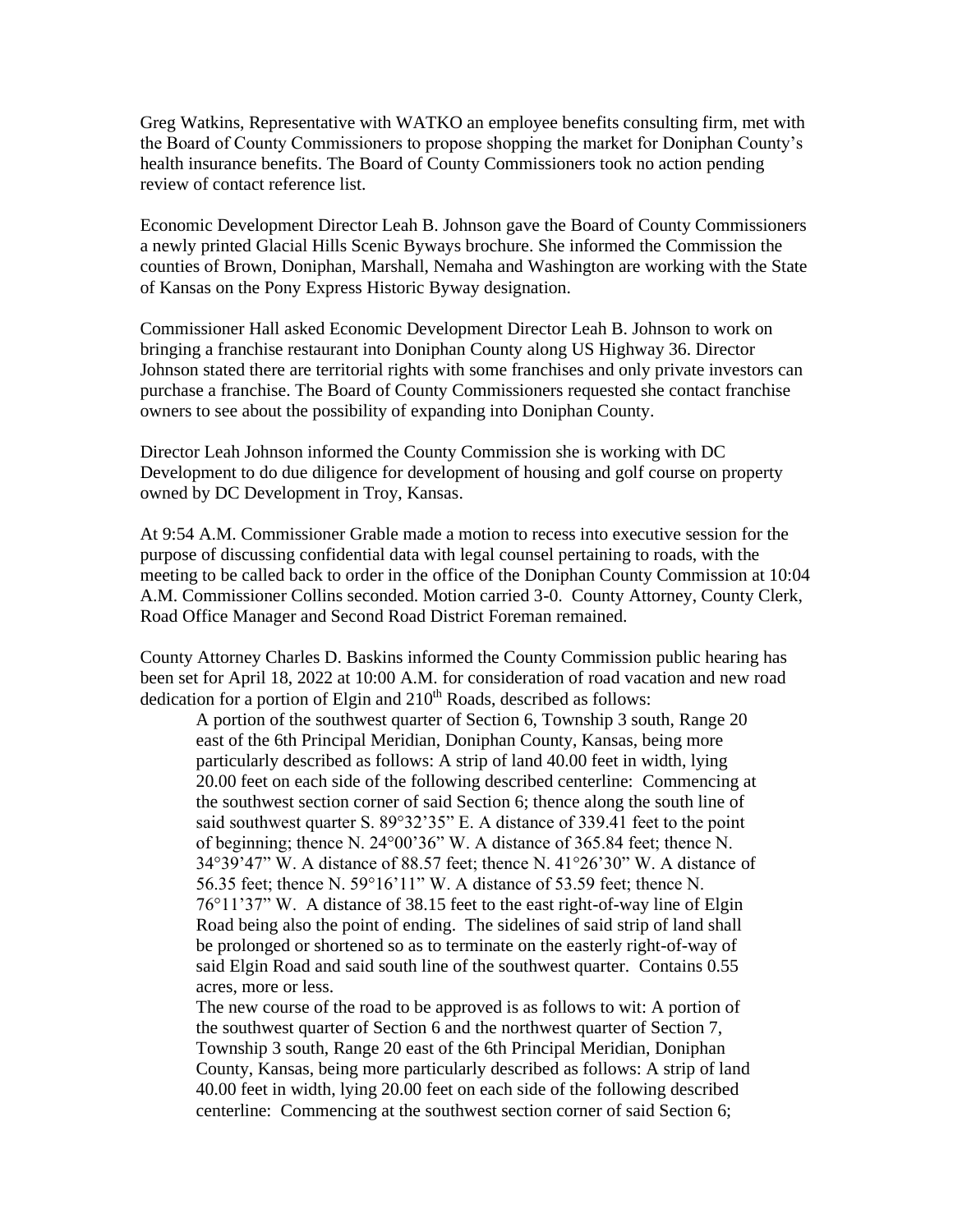Greg Watkins, Representative with WATKO an employee benefits consulting firm, met with the Board of County Commissioners to propose shopping the market for Doniphan County's health insurance benefits. The Board of County Commissioners took no action pending review of contact reference list.

Economic Development Director Leah B. Johnson gave the Board of County Commissioners a newly printed Glacial Hills Scenic Byways brochure. She informed the Commission the counties of Brown, Doniphan, Marshall, Nemaha and Washington are working with the State of Kansas on the Pony Express Historic Byway designation.

Commissioner Hall asked Economic Development Director Leah B. Johnson to work on bringing a franchise restaurant into Doniphan County along US Highway 36. Director Johnson stated there are territorial rights with some franchises and only private investors can purchase a franchise. The Board of County Commissioners requested she contact franchise owners to see about the possibility of expanding into Doniphan County.

Director Leah Johnson informed the County Commission she is working with DC Development to do due diligence for development of housing and golf course on property owned by DC Development in Troy, Kansas.

At 9:54 A.M. Commissioner Grable made a motion to recess into executive session for the purpose of discussing confidential data with legal counsel pertaining to roads, with the meeting to be called back to order in the office of the Doniphan County Commission at 10:04 A.M. Commissioner Collins seconded. Motion carried 3-0. County Attorney, County Clerk, Road Office Manager and Second Road District Foreman remained.

County Attorney Charles D. Baskins informed the County Commission public hearing has been set for April 18, 2022 at 10:00 A.M. for consideration of road vacation and new road dedication for a portion of Elgin and  $210<sup>th</sup>$  Roads, described as follows:

A portion of the southwest quarter of Section 6, Township 3 south, Range 20 east of the 6th Principal Meridian, Doniphan County, Kansas, being more particularly described as follows: A strip of land 40.00 feet in width, lying 20.00 feet on each side of the following described centerline: Commencing at the southwest section corner of said Section 6; thence along the south line of said southwest quarter S. 89°32'35" E. A distance of 339.41 feet to the point of beginning; thence N. 24°00'36" W. A distance of 365.84 feet; thence N. 34°39'47" W. A distance of 88.57 feet; thence N. 41°26'30" W. A distance of 56.35 feet; thence N. 59°16'11" W. A distance of 53.59 feet; thence N. 76°11'37" W. A distance of 38.15 feet to the east right-of-way line of Elgin Road being also the point of ending. The sidelines of said strip of land shall be prolonged or shortened so as to terminate on the easterly right-of-way of said Elgin Road and said south line of the southwest quarter. Contains 0.55 acres, more or less.

The new course of the road to be approved is as follows to wit: A portion of the southwest quarter of Section 6 and the northwest quarter of Section 7, Township 3 south, Range 20 east of the 6th Principal Meridian, Doniphan County, Kansas, being more particularly described as follows: A strip of land 40.00 feet in width, lying 20.00 feet on each side of the following described centerline: Commencing at the southwest section corner of said Section 6;